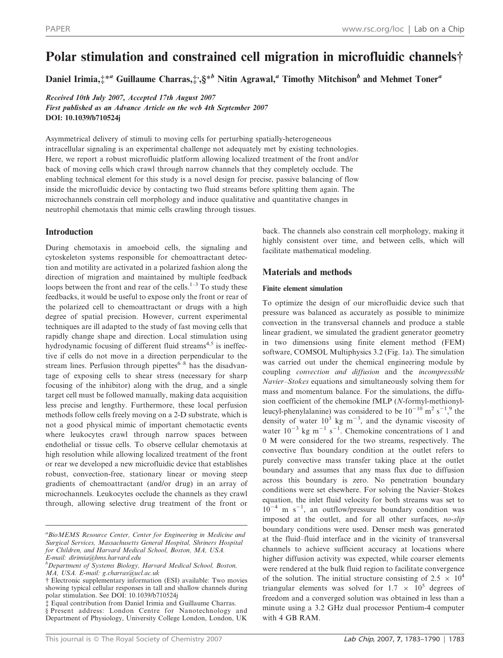# Polar stimulation and constrained cell migration in microfluidic channels†

Daniel Irimia, $\ddagger^{*a}$  Guillaume Charras, $\ddagger$ , § $^{*b}$  Nitin Agrawal, $^a$  Timothy Mitchison $^b$  and Mehmet Toner $^a$ 

Received 10th July 2007, Accepted 17th August 2007 First published as an Advance Article on the web 4th September 2007 DOI: 10.1039/b710524j

Asymmetrical delivery of stimuli to moving cells for perturbing spatially-heterogeneous intracellular signaling is an experimental challenge not adequately met by existing technologies. Here, we report a robust microfluidic platform allowing localized treatment of the front and/or back of moving cells which crawl through narrow channels that they completely occlude. The enabling technical element for this study is a novel design for precise, passive balancing of flow inside the microfluidic device by contacting two fluid streams before splitting them again. The microchannels constrain cell morphology and induce qualitative and quantitative changes in neutrophil chemotaxis that mimic cells crawling through tissues.

# Introduction

During chemotaxis in amoeboid cells, the signaling and cytoskeleton systems responsible for chemoattractant detection and motility are activated in a polarized fashion along the direction of migration and maintained by multiple feedback loops between the front and rear of the cells. $1-3$  To study these feedbacks, it would be useful to expose only the front or rear of the polarized cell to chemoattractant or drugs with a high degree of spatial precision. However, current experimental techniques are ill adapted to the study of fast moving cells that rapidly change shape and direction. Local stimulation using hydrodynamic focusing of different fluid streams<sup> $4,5$ </sup> is ineffective if cells do not move in a direction perpendicular to the stream lines. Perfusion through pipettes $6-8$  has the disadvantage of exposing cells to shear stress (necessary for sharp focusing of the inhibitor) along with the drug, and a single target cell must be followed manually, making data acquisition less precise and lengthy. Furthermore, these local perfusion methods follow cells freely moving on a 2-D substrate, which is not a good physical mimic of important chemotactic events where leukocytes crawl through narrow spaces between endothelial or tissue cells. To observe cellular chemotaxis at high resolution while allowing localized treatment of the front or rear we developed a new microfluidic device that establishes robust, convection-free, stationary linear or moving steep gradients of chemoattractant (and/or drug) in an array of microchannels. Leukocytes occlude the channels as they crawl through, allowing selective drug treatment of the front or back. The channels also constrain cell morphology, making it highly consistent over time, and between cells, which will facilitate mathematical modeling.

# Materials and methods

#### Finite element simulation

To optimize the design of our microfluidic device such that pressure was balanced as accurately as possible to minimize convection in the transversal channels and produce a stable linear gradient, we simulated the gradient generator geometry in two dimensions using finite element method (FEM) software, COMSOL Multiphysics 3.2 (Fig. 1a). The simulation was carried out under the chemical engineering module by coupling convection and diffusion and the incompressible Navier–Stokes equations and simultaneously solving them for mass and momentum balance. For the simulations, the diffusion coefficient of the chemokine fMLP (N-formyl-methionylleucyl-phenylalanine) was considered to be  $10^{-10}$  m<sup>2</sup> s<sup>-1</sup>,<sup>9</sup> the density of water  $10^3$  kg m<sup>-3</sup>, and the dynamic viscosity of water  $10^{-3}$  kg m<sup>-1</sup> s<sup>-1</sup>. Chemokine concentrations of 1 and 0 M were considered for the two streams, respectively. The convective flux boundary condition at the outlet refers to purely convective mass transfer taking place at the outlet boundary and assumes that any mass flux due to diffusion across this boundary is zero. No penetration boundary conditions were set elsewhere. For solving the Navier–Stokes equation, the inlet fluid velocity for both streams was set to  $10^{-4}$  m s<sup>-1</sup>, an outflow/pressure boundary condition was imposed at the outlet, and for all other surfaces, no-slip boundary conditions were used. Denser mesh was generated at the fluid–fluid interface and in the vicinity of transversal channels to achieve sufficient accuracy at locations where higher diffusion activity was expected, while coarser elements were rendered at the bulk fluid region to facilitate convergence of the solution. The initial structure consisting of 2.5  $\times$  10<sup>4</sup> triangular elements was solved for  $1.7 \times 10^5$  degrees of freedom and a converged solution was obtained in less than a minute using a 3.2 GHz dual processor Pentium-4 computer with 4 GB RAM.

<sup>&</sup>lt;sup>a</sup> Bio MEMS Resource Center, Center for Engineering in Medicine and Surgical Services, Massachusetts General Hospital, Shriners Hospital for Children, and Harvard Medical School, Boston, MA, USA. E-mail: dirimia@hms.harvard.edu

<sup>&</sup>lt;sup>b</sup>Department of Systems Biology, Harvard Medical School, Boston, MA, USA. E-mail: g.charras@ucl.ac.uk

<sup>{</sup> Electronic supplementary information (ESI) available: Two movies showing typical cellular responses in tall and shallow channels during polar stimulation. See DOI: 10.1039/b710524j

<sup>{</sup> Equal contribution from Daniel Irimia and Guillaume Charras.

<sup>§</sup> Present address: London Centre for Nanotechnology and Department of Physiology, University College London, London, UK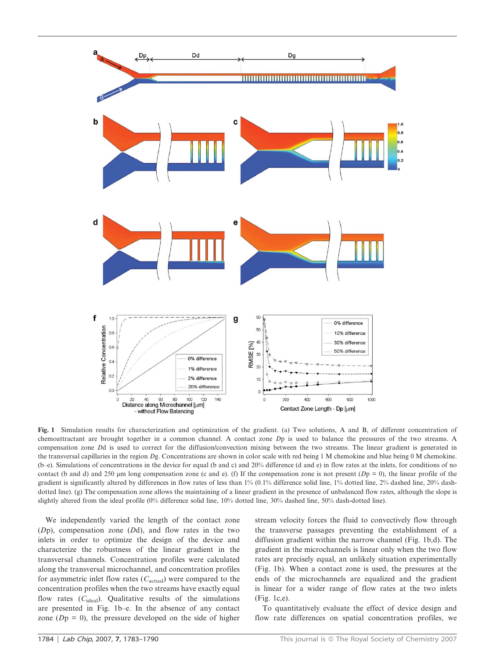

Fig. 1 Simulation results for characterization and optimization of the gradient. (a) Two solutions, A and B, of different concentration of chemoattractant are brought together in a common channel. A contact zone Dp is used to balance the pressures of the two streams. A compensation zone Dd is used to correct for the diffusion/convection mixing between the two streams. The linear gradient is generated in the transversal capillaries in the region Dg. Concentrations are shown in color scale with red being 1 M chemokine and blue being 0 M chemokine. (b–e). Simulations of concentrations in the device for equal (b and c) and 20% difference (d and e) in flow rates at the inlets, for conditions of no contact (b and d) and 250  $\mu$ m long compensation zone (c and e). (f) If the compensation zone is not present ( $Dp = 0$ ), the linear profile of the gradient is significantly altered by differences in flow rates of less than 1% (0.1% difference solid line, 1% dotted line, 2% dashed line, 20% dashdotted line). (g) The compensation zone allows the maintaining of a linear gradient in the presence of unbalanced flow rates, although the slope is slightly altered from the ideal profile (0% difference solid line, 10% dotted line, 30% dashed line, 50% dash-dotted line).

We independently varied the length of the contact zone  $(Dp)$ , compensation zone  $(Dd)$ , and flow rates in the two inlets in order to optimize the design of the device and characterize the robustness of the linear gradient in the transversal channels. Concentration profiles were calculated along the transversal microchannel, and concentration profiles for asymmetric inlet flow rates  $(C_{\text{actual}})$  were compared to the concentration profiles when the two streams have exactly equal flow rates  $(C_{ideal})$ . Qualitative results of the simulations are presented in Fig. 1b–e. In the absence of any contact zone  $(Dp = 0)$ , the pressure developed on the side of higher

stream velocity forces the fluid to convectively flow through the transverse passages preventing the establishment of a diffusion gradient within the narrow channel (Fig. 1b,d). The gradient in the microchannels is linear only when the two flow rates are precisely equal, an unlikely situation experimentally (Fig. 1b). When a contact zone is used, the pressures at the ends of the microchannels are equalized and the gradient is linear for a wider range of flow rates at the two inlets (Fig. 1c,e).

To quantitatively evaluate the effect of device design and flow rate differences on spatial concentration profiles, we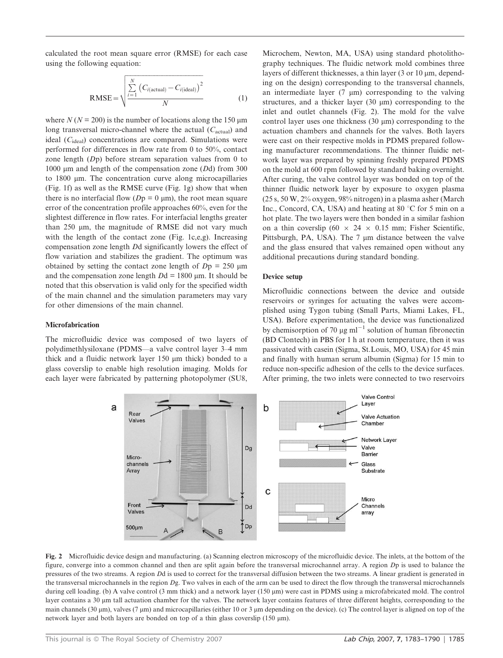calculated the root mean square error (RMSE) for each case using the following equation:

$$
RMSE = \sqrt{\frac{\sum_{i=1}^{N} (C_{i(\text{actual})} - C_{i(\text{ideal})})^2}{N}}
$$
(1)

where  $N (N = 200)$  is the number of locations along the 150 µm long transversal micro-channel where the actual  $(C_{actual})$  and ideal  $(C_{ideal})$  concentrations are compared. Simulations were performed for differences in flow rate from 0 to 50%, contact zone length (Dp) before stream separation values from 0 to 1000  $\mu$ m and length of the compensation zone (Dd) from 300 to 1800 mm. The concentration curve along microcapillaries (Fig. 1f) as well as the RMSE curve (Fig. 1g) show that when there is no interfacial flow ( $Dp = 0$  µm), the root mean square error of the concentration profile approaches 60%, even for the slightest difference in flow rates. For interfacial lengths greater than 250  $\mu$ m, the magnitude of RMSE did not vary much with the length of the contact zone (Fig. 1c,e,g). Increasing compensation zone length Dd significantly lowers the effect of flow variation and stabilizes the gradient. The optimum was obtained by setting the contact zone length of  $Dp = 250 \mu m$ and the compensation zone length  $Dd = 1800 \mu m$ . It should be noted that this observation is valid only for the specified width of the main channel and the simulation parameters may vary for other dimensions of the main channel.

#### Microfabrication

The microfluidic device was composed of two layers of polydimethlysiloxane (PDMS—a valve control layer 3–4 mm thick and a fluidic network layer  $150 \mu m$  thick) bonded to a glass coverslip to enable high resolution imaging. Molds for each layer were fabricated by patterning photopolymer (SU8,

Microchem, Newton, MA, USA) using standard photolithography techniques. The fluidic network mold combines three layers of different thicknesses, a thin layer  $(3 \text{ or } 10 \mu \text{m})$ , depending on the design) corresponding to the transversal channels, an intermediate layer  $(7 \mu m)$  corresponding to the valving structures, and a thicker layer  $(30 \mu m)$  corresponding to the inlet and outlet channels (Fig. 2). The mold for the valve control layer uses one thickness  $(30 \mu m)$  corresponding to the actuation chambers and channels for the valves. Both layers were cast on their respective molds in PDMS prepared following manufacturer recommendations. The thinner fluidic network layer was prepared by spinning freshly prepared PDMS on the mold at 600 rpm followed by standard baking overnight. After curing, the valve control layer was bonded on top of the thinner fluidic network layer by exposure to oxygen plasma (25 s, 50 W, 2% oxygen, 98% nitrogen) in a plasma asher (March Inc., Concord, CA, USA) and heating at 80  $\degree$ C for 5 min on a hot plate. The two layers were then bonded in a similar fashion on a thin coverslip (60  $\times$  24  $\times$  0.15 mm; Fisher Scientific, Pittsburgh, PA, USA). The 7 µm distance between the valve and the glass ensured that valves remained open without any additional precautions during standard bonding.

#### Device setup

Microfluidic connections between the device and outside reservoirs or syringes for actuating the valves were accomplished using Tygon tubing (Small Parts, Miami Lakes, FL, USA). Before experimentation, the device was functionalized by chemisorption of 70  $\mu$ g ml<sup>-1</sup> solution of human fibronectin (BD Clontech) in PBS for 1 h at room temperature, then it was passivated with casein (Sigma, St.Louis, MO, USA) for 45 min and finally with human serum albumin (Sigma) for 15 min to reduce non-specific adhesion of the cells to the device surfaces. After priming, the two inlets were connected to two reservoirs



Fig. 2 Microfluidic device design and manufacturing. (a) Scanning electron microscopy of the microfluidic device. The inlets, at the bottom of the figure, converge into a common channel and then are split again before the transversal microchannel array. A region Dp is used to balance the pressures of the two streams. A region Dd is used to correct for the transversal diffusion between the two streams. A linear gradient is generated in the transversal microchannels in the region  $Dg$ . Two valves in each of the arm can be used to direct the flow through the transversal microchannels during cell loading. (b) A valve control (3 mm thick) and a network layer (150  $\mu$ m) were cast in PDMS using a microfabricated mold. The control layer contains a 30 µm tall actuation chamber for the valves. The network layer contains features of three different heights, corresponding to the main channels (30  $\mu$ m), valves (7  $\mu$ m) and microcapillaries (either 10 or 3  $\mu$ m depending on the device). (c) The control layer is aligned on top of the network layer and both layers are bonded on top of a thin glass coversilip (150  $\mu$ m).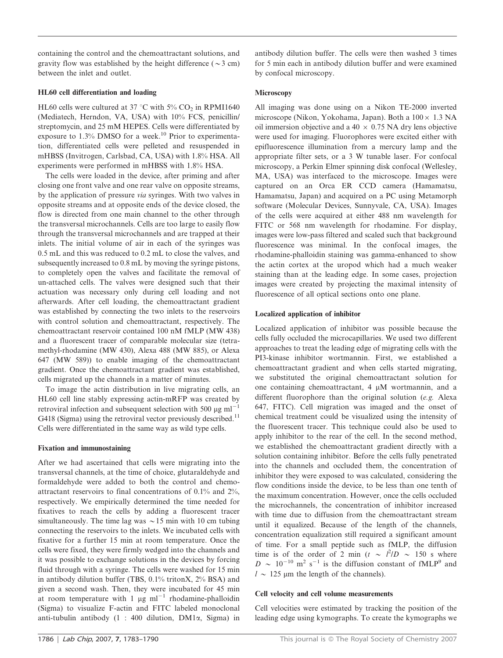containing the control and the chemoattractant solutions, and gravity flow was established by the height difference ( $\sim$ 3 cm) between the inlet and outlet.

#### HL60 cell differentiation and loading

HL60 cells were cultured at 37 °C with 5% CO<sub>2</sub> in RPMI1640 (Mediatech, Herndon, VA, USA) with 10% FCS, penicillin/ streptomycin, and 25 mM HEPES. Cells were differentiated by exposure to  $1.3\%$  DMSO for a week.<sup>10</sup> Prior to experimentation, differentiated cells were pelleted and resuspended in mHBSS (Invitrogen, Carlsbad, CA, USA) with 1.8% HSA. All experiments were performed in mHBSS with 1.8% HSA.

The cells were loaded in the device, after priming and after closing one front valve and one rear valve on opposite streams, by the application of pressure via syringes. With two valves in opposite streams and at opposite ends of the device closed, the flow is directed from one main channel to the other through the transversal microchannels. Cells are too large to easily flow through the transversal microchannels and are trapped at their inlets. The initial volume of air in each of the syringes was 0.5 mL and this was reduced to 0.2 mL to close the valves, and subsequently increased to 0.8 mL by moving the syringe pistons, to completely open the valves and facilitate the removal of un-attached cells. The valves were designed such that their actuation was necessary only during cell loading and not afterwards. After cell loading, the chemoattractant gradient was established by connecting the two inlets to the reservoirs with control solution and chemoattractant, respectively. The chemoattractant reservoir contained 100 nM fMLP (MW 438) and a fluorescent tracer of comparable molecular size (tetramethyl-rhodamine (MW 430), Alexa 488 (MW 885), or Alexa 647 (MW 589)) to enable imaging of the chemoattractant gradient. Once the chemoattractant gradient was established, cells migrated up the channels in a matter of minutes.

To image the actin distribution in live migrating cells, an HL60 cell line stably expressing actin-mRFP was created by retroviral infection and subsequent selection with 500  $\mu$ g ml<sup>-1</sup> G418 (Sigma) using the retroviral vector previously described.<sup>11</sup> Cells were differentiated in the same way as wild type cells.

## Fixation and immunostaining

After we had ascertained that cells were migrating into the transversal channels, at the time of choice, glutaraldehyde and formaldehyde were added to both the control and chemoattractant reservoirs to final concentrations of 0.1% and 2%, respectively. We empirically determined the time needed for fixatives to reach the cells by adding a fluorescent tracer simultaneously. The time lag was  $\sim$  15 min with 10 cm tubing connecting the reservoirs to the inlets. We incubated cells with fixative for a further 15 min at room temperature. Once the cells were fixed, they were firmly wedged into the channels and it was possible to exchange solutions in the devices by forcing fluid through with a syringe. The cells were washed for 15 min in antibody dilution buffer (TBS, 0.1% tritonX, 2% BSA) and given a second wash. Then, they were incubated for 45 min at room temperature with 1  $\mu$ g ml<sup>-1</sup> rhodamine-phalloidin (Sigma) to visualize F-actin and FITC labeled monoclonal anti-tubulin antibody  $(1 : 400$  dilution, DM1 $\alpha$ , Sigma) in antibody dilution buffer. The cells were then washed 3 times for 5 min each in antibody dilution buffer and were examined by confocal microscopy.

### **Microscopy**

All imaging was done using on a Nikon TE-2000 inverted microscope (Nikon, Yokohama, Japan). Both a  $100 \times 1.3$  NA oil immersion objective and a 40  $\times$  0.75 NA dry lens objective were used for imaging. Fluorophores were excited either with epifluorescence illumination from a mercury lamp and the appropriate filter sets, or a 3 W tunable laser. For confocal microscopy, a Perkin Elmer spinning disk confocal (Wellesley, MA, USA) was interfaced to the microscope. Images were captured on an Orca ER CCD camera (Hamamatsu, Hamamatsu, Japan) and acquired on a PC using Metamorph software (Molecular Devices, Sunnyvale, CA, USA). Images of the cells were acquired at either 488 nm wavelength for FITC or 568 nm wavelength for rhodamine. For display, images were low-pass filtered and scaled such that background fluorescence was minimal. In the confocal images, the rhodamine-phalloidin staining was gamma-enhanced to show the actin cortex at the uropod which had a much weaker staining than at the leading edge. In some cases, projection images were created by projecting the maximal intensity of fluorescence of all optical sections onto one plane.

## Localized application of inhibitor

Localized application of inhibitor was possible because the cells fully occluded the microcapillaries. We used two different approaches to treat the leading edge of migrating cells with the PI3-kinase inhibitor wortmannin. First, we established a chemoattractant gradient and when cells started migrating, we substituted the original chemoattractant solution for one containing chemoattractant,  $4 \mu M$  wortmannin, and a different fluorophore than the original solution (e.g. Alexa 647, FITC). Cell migration was imaged and the onset of chemical treatment could be visualized using the intensity of the fluorescent tracer. This technique could also be used to apply inhibitor to the rear of the cell. In the second method, we established the chemoattractant gradient directly with a solution containing inhibitor. Before the cells fully penetrated into the channels and occluded them, the concentration of inhibitor they were exposed to was calculated, considering the flow conditions inside the device, to be less than one tenth of the maximum concentration. However, once the cells occluded the microchannels, the concentration of inhibitor increased with time due to diffusion from the chemoattractant stream until it equalized. Because of the length of the channels, concentration equalization still required a significant amount of time. For a small peptide such as fMLP, the diffusion time is of the order of 2 min ( $t \sim l^2/D \sim 150$  s where  $D \sim 10^{-10}$  m<sup>2</sup> s<sup>-1</sup> is the diffusion constant of fMLP<sup>9</sup> and  $l \sim 125$  µm the length of the channels).

## Cell velocity and cell volume measurements

Cell velocities were estimated by tracking the position of the leading edge using kymographs. To create the kymographs we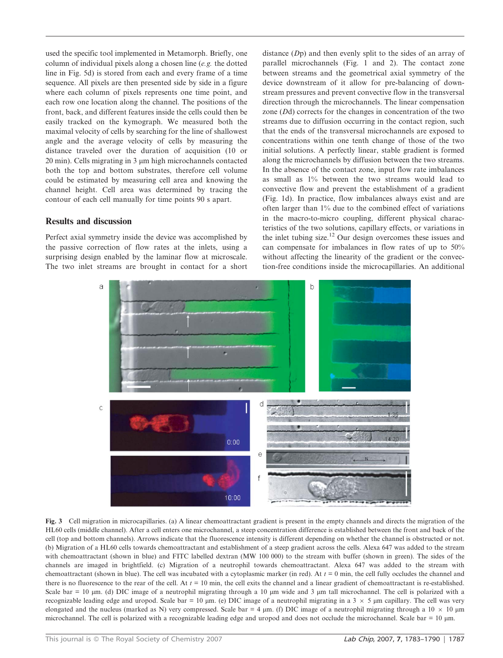used the specific tool implemented in Metamorph. Briefly, one column of individual pixels along a chosen line (e.g. the dotted line in Fig. 5d) is stored from each and every frame of a time sequence. All pixels are then presented side by side in a figure where each column of pixels represents one time point, and each row one location along the channel. The positions of the front, back, and different features inside the cells could then be easily tracked on the kymograph. We measured both the maximal velocity of cells by searching for the line of shallowest angle and the average velocity of cells by measuring the distance traveled over the duration of acquisition (10 or  $20 \text{ min}$ ). Cells migrating in  $3 \mu$ m high microchannels contacted both the top and bottom substrates, therefore cell volume could be estimated by measuring cell area and knowing the channel height. Cell area was determined by tracing the contour of each cell manually for time points 90 s apart.

## Results and discussion

Perfect axial symmetry inside the device was accomplished by the passive correction of flow rates at the inlets, using a surprising design enabled by the laminar flow at microscale. The two inlet streams are brought in contact for a short distance (Dp) and then evenly split to the sides of an array of parallel microchannels (Fig. 1 and 2). The contact zone between streams and the geometrical axial symmetry of the device downstream of it allow for pre-balancing of downstream pressures and prevent convective flow in the transversal direction through the microchannels. The linear compensation zone (Dd) corrects for the changes in concentration of the two streams due to diffusion occurring in the contact region, such that the ends of the transversal microchannels are exposed to concentrations within one tenth change of those of the two initial solutions. A perfectly linear, stable gradient is formed along the microchannels by diffusion between the two streams. In the absence of the contact zone, input flow rate imbalances as small as 1% between the two streams would lead to convective flow and prevent the establishment of a gradient (Fig. 1d). In practice, flow imbalances always exist and are often larger than 1% due to the combined effect of variations in the macro-to-micro coupling, different physical characteristics of the two solutions, capillary effects, or variations in the inlet tubing size.<sup>12</sup> Our design overcomes these issues and can compensate for imbalances in flow rates of up to 50% without affecting the linearity of the gradient or the convection-free conditions inside the microcapillaries. An additional



Fig. 3 Cell migration in microcapillaries. (a) A linear chemoattractant gradient is present in the empty channels and directs the migration of the HL60 cells (middle channel). After a cell enters one microchannel, a steep concentration difference is established between the front and back of the cell (top and bottom channels). Arrows indicate that the fluorescence intensity is different depending on whether the channel is obstructed or not. (b) Migration of a HL60 cells towards chemoattractant and establishment of a steep gradient across the cells. Alexa 647 was added to the stream with chemoattractant (shown in blue) and FITC labelled dextran (MW 100 000) to the stream with buffer (shown in green). The sides of the channels are imaged in brightfield. (c) Migration of a neutrophil towards chemoattractant. Alexa 647 was added to the stream with chemoattractant (shown in blue). The cell was incubated with a cytoplasmic marker (in red). At  $t = 0$  min, the cell fully occludes the channel and there is no fluorescence to the rear of the cell. At  $t = 10$  min, the cell exits the channel and a linear gradient of chemoattractant is re-established. Scale bar = 10  $\mu$ m. (d) DIC image of a neutrophil migrating through a 10  $\mu$ m wide and 3  $\mu$ m tall microchannel. The cell is polarized with a recognizable leading edge and uropod. Scale bar = 10  $\mu$ m. (e) DIC image of a neutrophil migrating in a 3  $\times$  5  $\mu$ m capillary. The cell was very elongated and the nucleus (marked as N) very compressed. Scale bar = 4  $\mu$ m. (f) DIC image of a neutrophil migrating through a 10  $\times$  10  $\mu$ m microchannel. The cell is polarized with a recognizable leading edge and uropod and does not occlude the microchannel. Scale bar = 10 µm.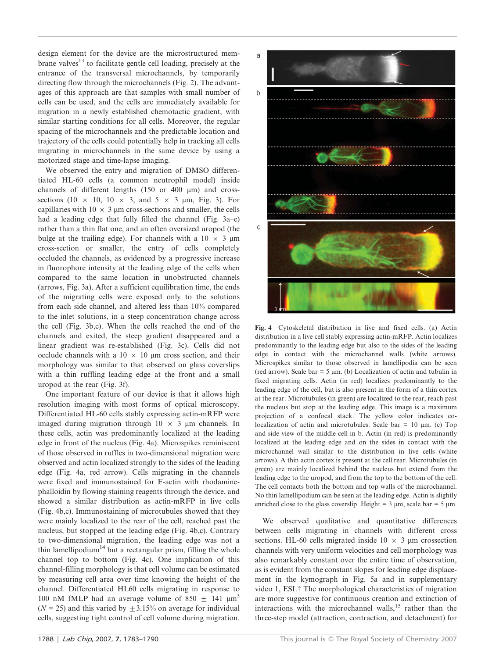design element for the device are the microstructured membrane valves<sup>13</sup> to facilitate gentle cell loading, precisely at the entrance of the transversal microchannels, by temporarily directing flow through the microchannels (Fig. 2). The advantages of this approach are that samples with small number of cells can be used, and the cells are immediately available for migration in a newly established chemotactic gradient, with similar starting conditions for all cells. Moreover, the regular spacing of the microchannels and the predictable location and trajectory of the cells could potentially help in tracking all cells migrating in microchannels in the same device by using a motorized stage and time-lapse imaging.

We observed the entry and migration of DMSO differentiated HL-60 cells (a common neutrophil model) inside channels of different lengths (150 or 400 µm) and crosssections (10  $\times$  10, 10  $\times$  3, and 5  $\times$  3 µm, Fig. 3). For capillaries with  $10 \times 3$  µm cross-sections and smaller, the cells had a leading edge that fully filled the channel (Fig. 3a–e) rather than a thin flat one, and an often oversized uropod (the bulge at the trailing edge). For channels with a  $10 \times 3 \mu m$ cross-section or smaller, the entry of cells completely occluded the channels, as evidenced by a progressive increase in fluorophore intensity at the leading edge of the cells when compared to the same location in unobstructed channels (arrows, Fig. 3a). After a sufficient equilibration time, the ends of the migrating cells were exposed only to the solutions from each side channel, and altered less than 10% compared to the inlet solutions, in a steep concentration change across the cell (Fig. 3b,c). When the cells reached the end of the channels and exited, the steep gradient disappeared and a linear gradient was re-established (Fig. 3c). Cells did not occlude channels with a  $10 \times 10$  um cross section, and their morphology was similar to that observed on glass coverslips with a thin ruffling leading edge at the front and a small uropod at the rear (Fig. 3f).

One important feature of our device is that it allows high resolution imaging with most forms of optical microscopy. Differentiated HL-60 cells stably expressing actin-mRFP were imaged during migration through  $10 \times 3$  µm channels. In these cells, actin was predominantly localized at the leading edge in front of the nucleus (Fig. 4a). Microspikes reminiscent of those observed in ruffles in two-dimensional migration were observed and actin localized strongly to the sides of the leading edge (Fig. 4a, red arrow). Cells migrating in the channels were fixed and immunostained for F-actin with rhodaminephalloidin by flowing staining reagents through the device, and showed a similar distribution as actin-mRFP in live cells (Fig. 4b,c). Immunostaining of microtubules showed that they were mainly localized to the rear of the cell, reached past the nucleus, but stopped at the leading edge (Fig. 4b,c). Contrary to two-dimensional migration, the leading edge was not a thin lamellipodium<sup>14</sup> but a rectangular prism, filling the whole channel top to bottom (Fig. 4c). One implication of this channel-filling morphology is that cell volume can be estimated by measuring cell area over time knowing the height of the channel. Differentiated HL60 cells migrating in response to 100 nM fMLP had an average volume of 850  $\pm$  141  $\mu$ m<sup>3</sup> ( $N = 25$ ) and this varied by  $\pm 3.15\%$  on average for individual cells, suggesting tight control of cell volume during migration.



Fig. 4 Cytoskeletal distribution in live and fixed cells. (a) Actin distribution in a live cell stably expressing actin-mRFP. Actin localizes predominantly to the leading edge but also to the sides of the leading edge in contact with the microchannel walls (white arrows). Microspikes similar to those observed in lamellipodia can be seen (red arrow). Scale bar  $= 5 \mu m$ . (b) Localization of actin and tubulin in fixed migrating cells. Actin (in red) localizes predominantly to the leading edge of the cell, but is also present in the form of a thin cortex at the rear. Microtubules (in green) are localized to the rear, reach past the nucleus but stop at the leading edge. This image is a maximum projection of a confocal stack. The yellow color indicates colocalization of actin and microtubules. Scale bar  $= 10 \mu m$ . (c) Top and side view of the middle cell in b. Actin (in red) is predominantly localized at the leading edge and on the sides in contact with the microchannel wall similar to the distribution in live cells (white arrows). A thin actin cortex is present at the cell rear. Microtubules (in green) are mainly localized behind the nucleus but extend from the leading edge to the uropod, and from the top to the bottom of the cell. The cell contacts both the bottom and top walls of the microchannel. No thin lamellipodium can be seen at the leading edge. Actin is slightly enriched close to the glass coverslip. Height =  $3 \mu m$ , scale bar =  $5 \mu m$ .

We observed qualitative and quantitative differences between cells migrating in channels with different cross sections. HL-60 cells migrated inside  $10 \times 3$  µm crossection channels with very uniform velocities and cell morphology was also remarkably constant over the entire time of observation, as is evident from the constant slopes for leading edge displacement in the kymograph in Fig. 5a and in supplementary video 1, ESI.<sup>†</sup> The morphological characteristics of migration are more suggestive for continuous creation and extinction of interactions with the microchannel walls, $15$  rather than the three-step model (attraction, contraction, and detachment) for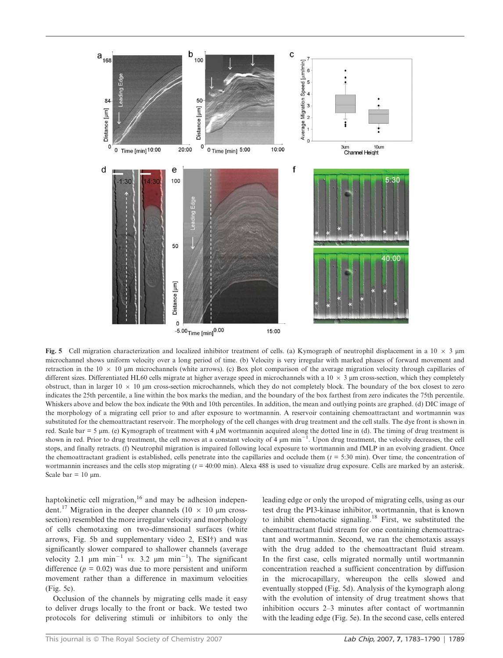

Fig. 5 Cell migration characterization and localized inhibitor treatment of cells. (a) Kymograph of neutrophil displacement in a 10  $\times$  3 µm microchannel shows uniform velocity over a long period of time. (b) Velocity is very irregular with marked phases of forward movement and retraction in the  $10 \times 10$  µm microchannels (white arrows). (c) Box plot comparison of the average migration velocity through capillaries of different sizes. Differentiated HL60 cells migrate at higher average speed in microchannels with a  $10 \times 3$  µm cross-section, which they completely obstruct, than in larger  $10 \times 10$  µm cross-section microchannels, which they do not completely block. The boundary of the box closest to zero indicates the 25th percentile, a line within the box marks the median, and the boundary of the box farthest from zero indicates the 75th percentile. Whiskers above and below the box indicate the 90th and 10th percentiles. In addition, the mean and outlying points are graphed. (d) DIC image of the morphology of a migrating cell prior to and after exposure to wortmannin. A reservoir containing chemoattractant and wortmannin was substituted for the chemoattractant reservoir. The morphology of the cell changes with drug treatment and the cell stalls. The dye front is shown in red. Scale bar = 5  $\mu$ m. (e) Kymograph of treatment with 4  $\mu$ M wortmannin acquired along the dotted line in (d). The timing of drug treatment is shown in red. Prior to drug treatment, the cell moves at a constant velocity of 4  $\mu$ m min<sup>-1</sup>. Upon drug treatment, the velocity decreases, the cell stops, and finally retracts. (f) Neutrophil migration is impaired following local exposure to wortmannin and fMLP in an evolving gradient. Once the chemoattractant gradient is established, cells penetrate into the capillaries and occlude them  $(t = 5:30 \text{ min})$ . Over time, the concentration of wortmannin increases and the cells stop migrating  $(t = 40:00 \text{ min})$ . Alexa 488 is used to visualize drug exposure. Cells are marked by an asterisk. Scale bar =  $10 \mu m$ .

haptokinetic cell migration, $16$  and may be adhesion independent.<sup>17</sup> Migration in the deeper channels (10  $\times$  10 µm crosssection) resembled the more irregular velocity and morphology of cells chemotaxing on two-dimensional surfaces (white arrows, Fig. 5b and supplementary video 2, ESI†) and was significantly slower compared to shallower channels (average velocity 2.1  $\mu$ m min<sup>-1</sup> vs. 3.2  $\mu$ m min<sup>-1</sup>). The significant difference  $(p = 0.02)$  was due to more persistent and uniform movement rather than a difference in maximum velocities (Fig. 5c).

Occlusion of the channels by migrating cells made it easy to deliver drugs locally to the front or back. We tested two protocols for delivering stimuli or inhibitors to only the leading edge or only the uropod of migrating cells, using as our test drug the PI3-kinase inhibitor, wortmannin, that is known to inhibit chemotactic signaling.<sup>18</sup> First, we substituted the chemoattractant fluid stream for one containing chemoattractant and wortmannin. Second, we ran the chemotaxis assays with the drug added to the chemoattractant fluid stream. In the first case, cells migrated normally until wortmannin concentration reached a sufficient concentration by diffusion in the microcapillary, whereupon the cells slowed and eventually stopped (Fig. 5d). Analysis of the kymograph along with the evolution of intensity of drug treatment shows that inhibition occurs 2–3 minutes after contact of wortmannin with the leading edge (Fig. 5e). In the second case, cells entered